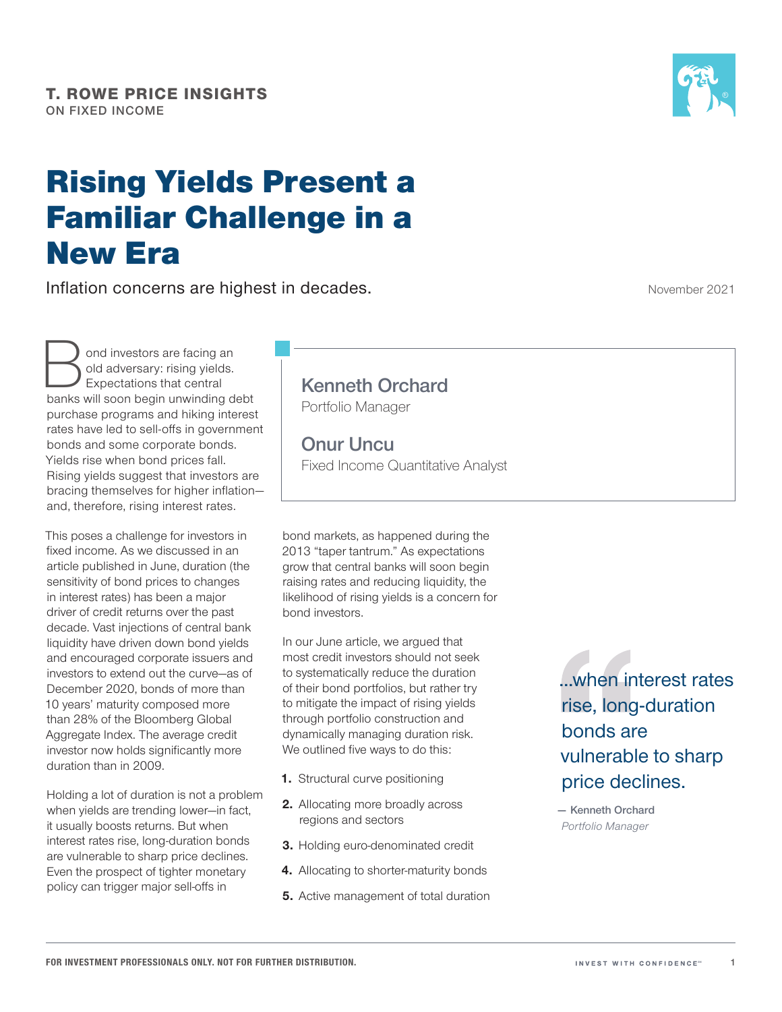# Rising Yields Present a Familiar Challenge in a New Era

Inflation concerns are highest in decades.

November 2021

ond investors are facing an<br>old adversary: rising yields.<br>Expectations that central<br>banks will soon begin unwinding d old adversary: rising yields. Expectations that central banks will soon begin unwinding debt purchase programs and hiking interest rates have led to sell‑offs in government bonds and some corporate bonds. Yields rise when bond prices fall. Rising yields suggest that investors are bracing themselves for higher inflation and, therefore, rising interest rates.

This poses a challenge for investors in fixed income. As we discussed in an article published in June, duration (the sensitivity of bond prices to changes in interest rates) has been a major driver of credit returns over the past decade. Vast injections of central bank liquidity have driven down bond yields and encouraged corporate issuers and investors to extend out the curve—as of December 2020, bonds of more than 10 years' maturity composed more than 28% of the Bloomberg Global Aggregate Index. The average credit investor now holds significantly more duration than in 2009.

Holding a lot of duration is not a problem when yields are trending lower—in fact, it usually boosts returns. But when interest rates rise, long‑duration bonds are vulnerable to sharp price declines. Even the prospect of tighter monetary policy can trigger major sell‑offs in

## **Kenneth Orchard**

Portfolio Manager

**Onur Uncu** Fixed Income Quantitative Analyst

bond markets, as happened during the 2013 "taper tantrum." As expectations grow that central banks will soon begin raising rates and reducing liquidity, the likelihood of rising yields is a concern for bond investors.

In our June article, we argued that most credit investors should not seek to systematically reduce the duration of their bond portfolios, but rather try to mitigate the impact of rising yields through portfolio construction and dynamically managing duration risk. We outlined five ways to do this:

- **1.** Structural curve positioning
- **2.** Allocating more broadly across regions and sectors
- **3.** Holding euro-denominated credit
- **4.** Allocating to shorter-maturity bonds
- **5.** Active management of total duration

...when interest rates rise, long‑duration bonds are vulnerable to sharp price declines.

**— Kenneth Orchard** *Portfolio Manager*

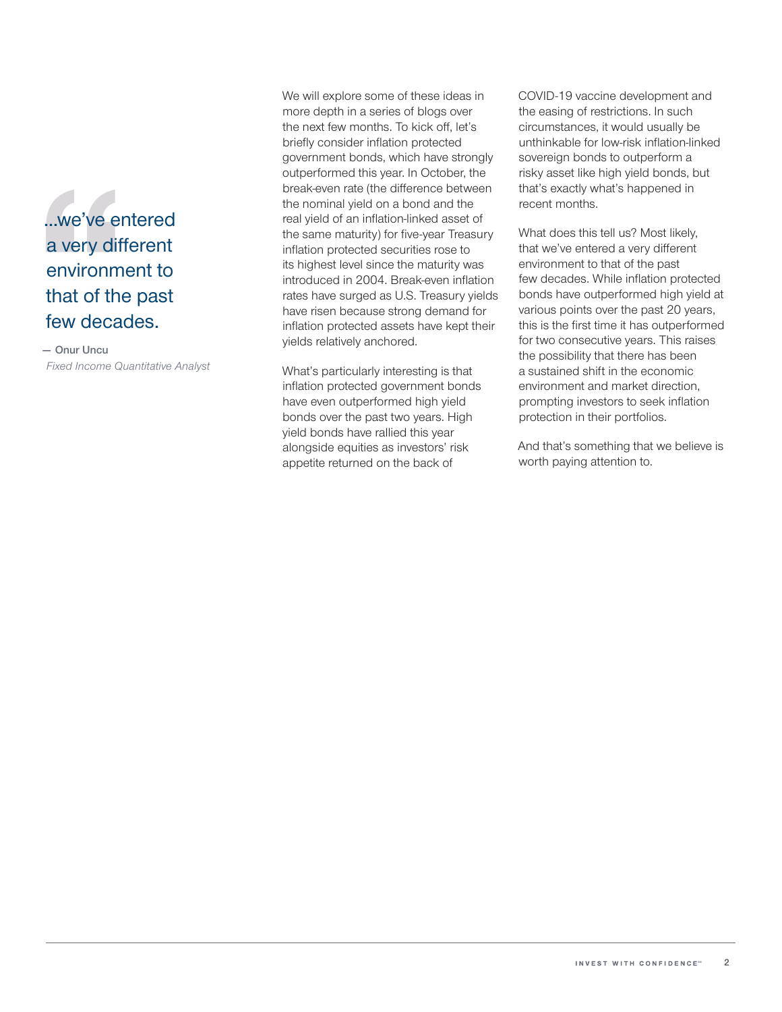

### **— Onur Uncu** *Fixed Income Quantitative Analyst*

We will explore some of these ideas in more depth in a series of blogs over the next few months. To kick off, let's briefly consider inflation protected government bonds, which have strongly outperformed this year. In October, the break‑even rate (the difference between the nominal yield on a bond and the real yield of an inflation-linked asset of the same maturity) for five‑year Treasury inflation protected securities rose to its highest level since the maturity was introduced in 2004. Break‑even inflation rates have surged as U.S. Treasury yields have risen because strong demand for inflation protected assets have kept their yields relatively anchored.

What's particularly interesting is that inflation protected government bonds have even outperformed high yield bonds over the past two years. High yield bonds have rallied this year alongside equities as investors' risk appetite returned on the back of

COVID‑19 vaccine development and the easing of restrictions. In such circumstances, it would usually be unthinkable for low-risk inflation-linked sovereign bonds to outperform a risky asset like high yield bonds, but that's exactly what's happened in recent months.

What does this tell us? Most likely, that we've entered a very different environment to that of the past few decades. While inflation protected bonds have outperformed high yield at various points over the past 20 years, this is the first time it has outperformed for two consecutive years. This raises the possibility that there has been a sustained shift in the economic environment and market direction, prompting investors to seek inflation protection in their portfolios.

And that's something that we believe is worth paying attention to.